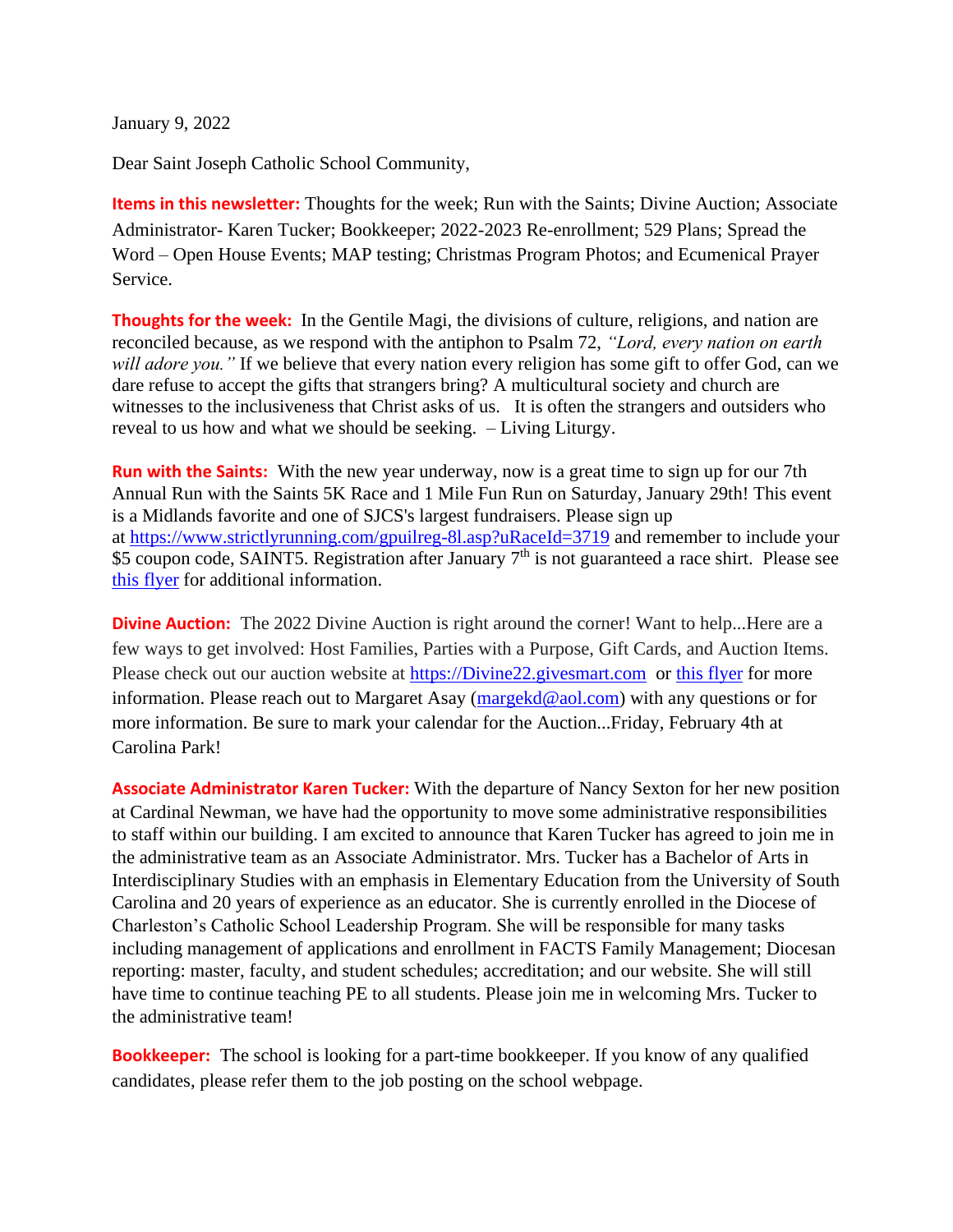January 9, 2022

Dear Saint Joseph Catholic School Community,

**Items in this newsletter:** Thoughts for the week; Run with the Saints; Divine Auction; Associate Administrator- Karen Tucker; Bookkeeper; 2022-2023 Re-enrollment; 529 Plans; Spread the Word – Open House Events; MAP testing; Christmas Program Photos; and Ecumenical Prayer Service.

**Thoughts for the week:** In the Gentile Magi, the divisions of culture, religions, and nation are reconciled because, as we respond with the antiphon to Psalm 72, *"Lord, every nation on earth will adore you."* If we believe that every nation every religion has some gift to offer God, can we dare refuse to accept the gifts that strangers bring? A multicultural society and church are witnesses to the inclusiveness that Christ asks of us. It is often the strangers and outsiders who reveal to us how and what we should be seeking. – Living Liturgy.

**Run with the Saints:** With the new year underway, now is a great time to sign up for our 7th Annual Run with the Saints 5K Race and 1 Mile Fun Run on Saturday, January 29th! This event is a Midlands favorite and one of SJCS's largest fundraisers. Please sign up at <https://www.strictlyrunning.com/gpuilreg-8l.asp?uRaceId=3719> and remember to include your \$5 coupon code, SAINT5. Registration after January 7<sup>th</sup> is not guaranteed a race shirt. Please see this [flyer](https://5e66b1ab-9ab7-439e-ac6b-296325bd0824.filesusr.com/ugd/8031f7_5cbcd594b620472796395f9b565ef476.pdf) for additional information.

**Divine Auction:** The 2022 Divine Auction is right around the corner! Want to help...Here are a few ways to get involved: Host Families, Parties with a Purpose, Gift Cards, and Auction Items. Please check out our auction website at [https://Divine22.givesmart.com](https://divine22.givesmart.com/) or this [flyer](https://www.stjosdevine.com/_files/ugd/8031f7_cec3f6118cab4fe8900b744489f96660.pdf) for more information. Please reach out to Margaret Asay [\(margekd@aol.com\)](mailto:margekd@aol.com) with any questions or for more information. Be sure to mark your calendar for the Auction...Friday, February 4th at Carolina Park!

**Associate Administrator Karen Tucker:** With the departure of Nancy Sexton for her new position at Cardinal Newman, we have had the opportunity to move some administrative responsibilities to staff within our building. I am excited to announce that Karen Tucker has agreed to join me in the administrative team as an Associate Administrator. Mrs. Tucker has a Bachelor of Arts in Interdisciplinary Studies with an emphasis in Elementary Education from the University of South Carolina and 20 years of experience as an educator. She is currently enrolled in the Diocese of Charleston's Catholic School Leadership Program. She will be responsible for many tasks including management of applications and enrollment in FACTS Family Management; Diocesan reporting: master, faculty, and student schedules; accreditation; and our website. She will still have time to continue teaching PE to all students. Please join me in welcoming Mrs. Tucker to the administrative team!

**Bookkeeper:** The school is looking for a part-time bookkeeper. If you know of any qualified candidates, please refer them to the job posting on the school webpage.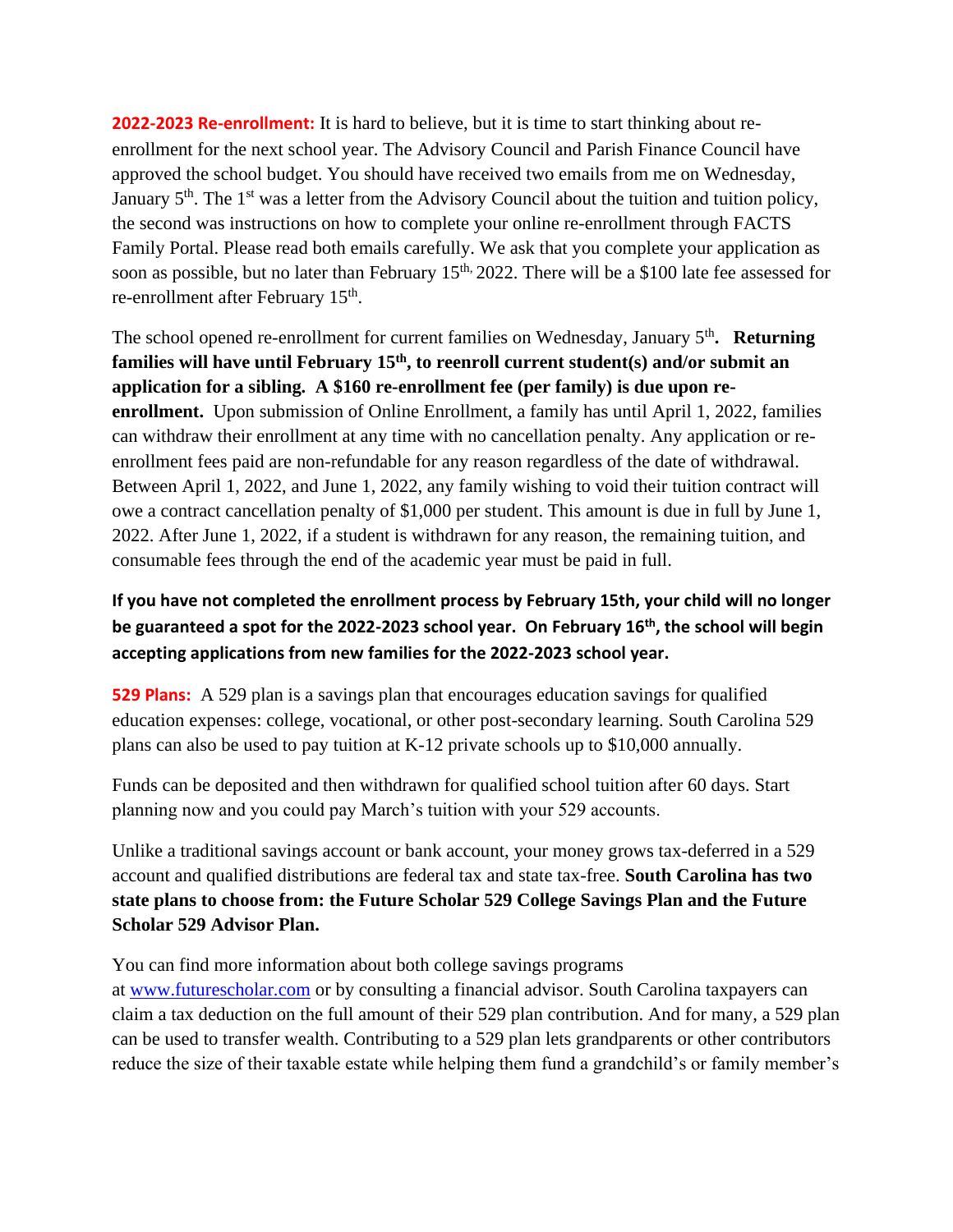**2022-2023 Re-enrollment:** It is hard to believe, but it is time to start thinking about reenrollment for the next school year. The Advisory Council and Parish Finance Council have approved the school budget. You should have received two emails from me on Wednesday, January 5<sup>th</sup>. The 1<sup>st</sup> was a letter from the Advisory Council about the tuition and tuition policy, the second was instructions on how to complete your online re-enrollment through FACTS Family Portal. Please read both emails carefully. We ask that you complete your application as soon as possible, but no later than February 15<sup>th, 2022</sup>. There will be a \$100 late fee assessed for re-enrollment after February 15<sup>th</sup>.

The school opened re-enrollment for current families on Wednesday, January 5<sup>th</sup>. Returning **families will have until February 15th, to reenroll current student(s) and/or submit an application for a sibling. A \$160 re-enrollment fee (per family) is due upon reenrollment.** Upon submission of Online Enrollment, a family has until April 1, 2022, families can withdraw their enrollment at any time with no cancellation penalty. Any application or reenrollment fees paid are non-refundable for any reason regardless of the date of withdrawal. Between April 1, 2022, and June 1, 2022, any family wishing to void their tuition contract will owe a contract cancellation penalty of \$1,000 per student. This amount is due in full by June 1, 2022. After June 1, 2022, if a student is withdrawn for any reason, the remaining tuition, and consumable fees through the end of the academic year must be paid in full.

## **If you have not completed the enrollment process by February 15th, your child will no longer be guaranteed a spot for the 2022-2023 school year. On February 16th, the school will begin accepting applications from new families for the 2022-2023 school year.**

**529 Plans:** A 529 plan is a savings plan that encourages education savings for qualified education expenses: college, vocational, or other post-secondary learning. South Carolina 529 plans can also be used to pay tuition at K-12 private schools up to \$10,000 annually.

Funds can be deposited and then withdrawn for qualified school tuition after 60 days. Start planning now and you could pay March's tuition with your 529 accounts.

Unlike a traditional savings account or bank account, your money grows tax-deferred in a 529 account and qualified distributions are federal tax and state tax-free. **South Carolina has two state plans to choose from: the Future Scholar 529 College Savings Plan and the Future Scholar 529 Advisor Plan.**

You can find more information about both college savings programs

at [www.futurescholar.com](http://www.futurescholar.com/) or by consulting a financial advisor. South Carolina taxpayers can claim a tax deduction on the full amount of their 529 plan contribution. And for many, a 529 plan can be used to transfer wealth. Contributing to a 529 plan lets grandparents or other contributors reduce the size of their taxable estate while helping them fund a grandchild's or family member's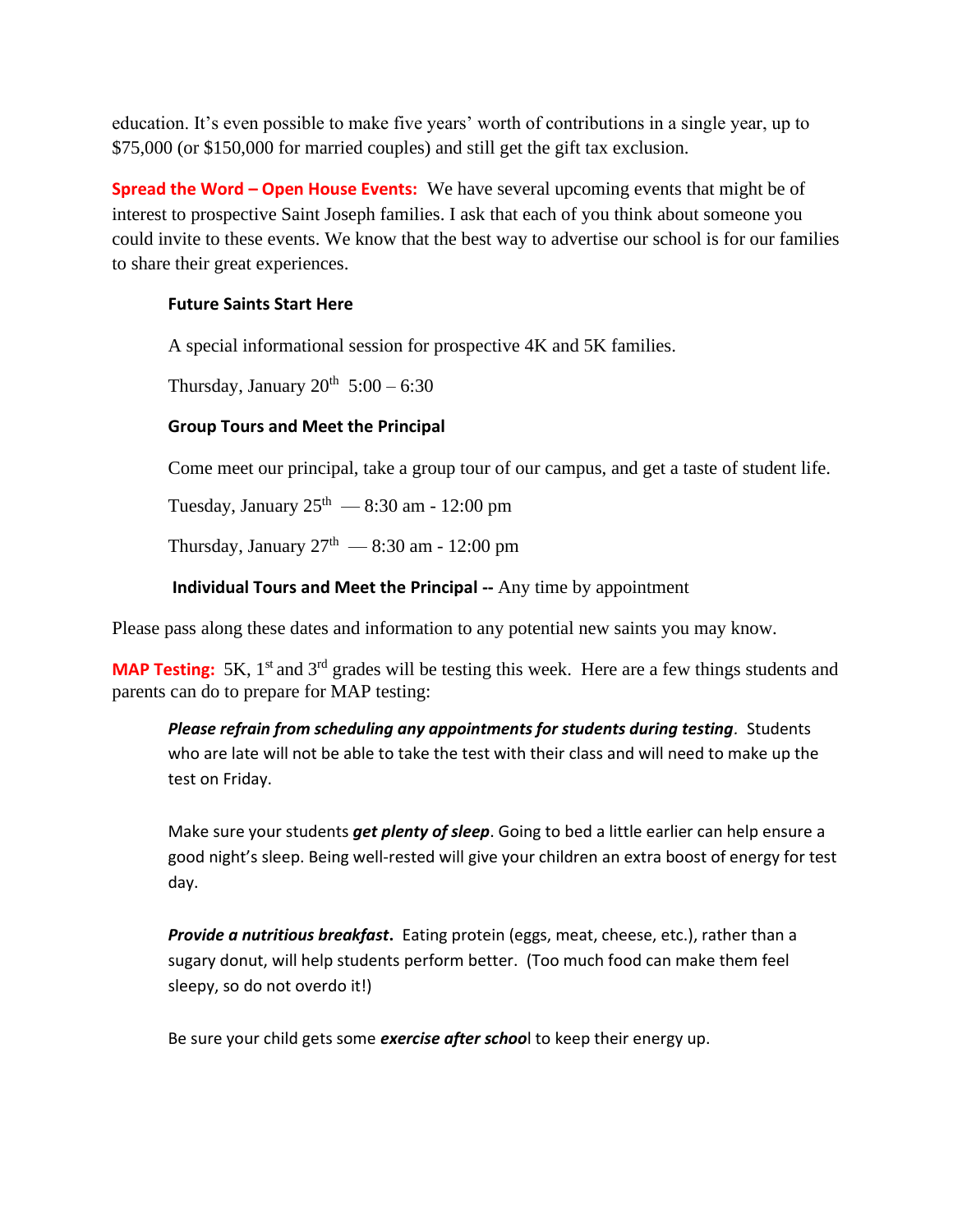education. It's even possible to make five years' worth of contributions in a single year, up to \$75,000 (or \$150,000 for married couples) and still get the gift tax exclusion.

**Spread the Word – Open House Events:** We have several upcoming events that might be of interest to prospective Saint Joseph families. I ask that each of you think about someone you could invite to these events. We know that the best way to advertise our school is for our families to share their great experiences.

## **Future Saints Start Here**

A special informational session for prospective 4K and 5K families.

Thursday, January  $20^{th}$  5:00 – 6:30

## **Group Tours and Meet the Principal**

Come meet our principal, take a group tour of our campus, and get a taste of student life.

Tuesday, January  $25<sup>th</sup>$  — 8:30 am - 12:00 pm

Thursday, January  $27<sup>th</sup>$  — 8:30 am - 12:00 pm

**Individual Tours and Meet the Principal --** Any time by appointment

Please pass along these dates and information to any potential new saints you may know.

**MAP Testing:** 5K, 1<sup>st</sup> and 3<sup>rd</sup> grades will be testing this week. Here are a few things students and parents can do to prepare for MAP testing:

*Please refrain from scheduling any appointments for students during testing.* Students who are late will not be able to take the test with their class and will need to make up the test on Friday.

Make sure your students *get plenty of sleep*. Going to bed a little earlier can help ensure a good night's sleep. Being well-rested will give your children an extra boost of energy for test day.

*Provide a nutritious breakfast***.** Eating protein (eggs, meat, cheese, etc.), rather than a sugary donut, will help students perform better. (Too much food can make them feel sleepy, so do not overdo it!)

Be sure your child gets some *exercise after schoo*l to keep their energy up.